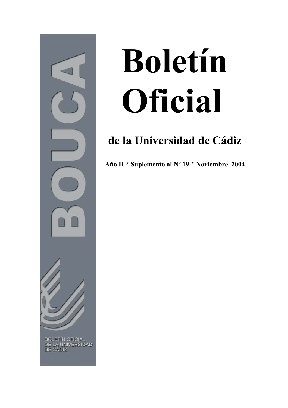

# **Boletín Oficial**

# **de la Universidad de Cádiz**

**Año II \* Suplemento al Nº 19 \* Noviembre 2004**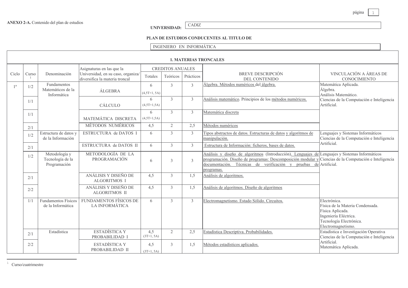### CADIZ **UNIVERSIDAD:**

# PLAN DE ESTUDIOS CONDUCENTES AL TITULO DE

# INGENIERO EN INFORMÁTICA

|                | <b>1. MATERIAS TRONCALES</b> |                                                        |                                                                                                   |                     |                                     |                |                                                                                                                                                                                                                                                                                           |                                                                                                                                                |  |
|----------------|------------------------------|--------------------------------------------------------|---------------------------------------------------------------------------------------------------|---------------------|-------------------------------------|----------------|-------------------------------------------------------------------------------------------------------------------------------------------------------------------------------------------------------------------------------------------------------------------------------------------|------------------------------------------------------------------------------------------------------------------------------------------------|--|
| Ciclo          | Curso                        | Denominación                                           | Asignaturas en las que la<br>Universidad, en su caso, organiza/<br>diversifica la materia troncal | Totales             | <b>CREDITOS ANUALES</b><br>Teóricos | Prácticos      | <b>BREVE DESCRIPCIÓN</b><br><b>DEL CONTENIDO</b>                                                                                                                                                                                                                                          | VINCULACIÓN A ÁREAS DE<br><b>CONOCIMIENTO</b>                                                                                                  |  |
| 1 <sup>0</sup> | 1/2                          | <b>Fundamentos</b><br>Matemáticos de la<br>Informática | <b>ÁLGEBRA</b>                                                                                    | 6<br>$(4,5T+1, 5A)$ | 3                                   | $\overline{3}$ | Álgebra. Métodos numéricos del álgebra.                                                                                                                                                                                                                                                   | Matemática Aplicada.<br>Álgebra.<br>Análisis Matemático.                                                                                       |  |
|                | 1/1                          |                                                        | CÁLCULO                                                                                           | 6<br>$(4,5T+1,5A)$  | 3                                   | $\overline{3}$ | Análisis matemático. Principios de los métodos numéricos.                                                                                                                                                                                                                                 | Ciencias de la Computación e Inteligencia<br>Artificial.                                                                                       |  |
|                | 1/1                          |                                                        | MATEMÁTICA DISCRETA                                                                               | 6<br>$(4,5T+1,5A)$  | $\mathcal{E}$                       | 3              | Matemática discreta                                                                                                                                                                                                                                                                       |                                                                                                                                                |  |
|                | 2/1                          |                                                        | MÉTODOS NUMÉRICOS                                                                                 | 4,5                 | $\mathfrak{2}$                      | 2,5            | Métodos numéricos                                                                                                                                                                                                                                                                         |                                                                                                                                                |  |
|                | 1/2                          | Estructura de datos y<br>de la Información             | ESTRUCTURA de DATOS I                                                                             | 6                   | $\overline{3}$                      | $\overline{3}$ | Tipos abstractos de datos. Estructuras de datos y algoritmos de<br>manipulación.                                                                                                                                                                                                          | Lenguajes y Sistemas Informáticos<br>Ciencias de la Computación e Inteligencia                                                                 |  |
|                | 2/1                          |                                                        | ESTRUCTURA de DATOS II                                                                            | 6                   | 3                                   | 3              | Estructura de Información: ficheros, bases de datos.                                                                                                                                                                                                                                      | Artificial.                                                                                                                                    |  |
|                | 1/2                          | Metodología y<br>Tecnología de la<br>Programación      | METODOLOGÍA DE LA<br>PROGRAMACIÓN                                                                 | 6                   | 3                                   | 3              | Análisis y diseño de algoritmos (Introducción). Lenguajes de Lenguajes y Sistemas Informáticos<br>programación. Diseño de programas: Descomposición modular y Ciencias de la Computación e Inteligencia<br>documentación. Técnicas de verificación y pruebas de Artificial.<br>programas. |                                                                                                                                                |  |
|                | 2/1                          |                                                        | ANÁLISIS Y DISEÑO DE<br><b>ALGORITMOS I</b>                                                       | 4,5                 | 3                                   | 1,5            | Análisis de algoritmos.                                                                                                                                                                                                                                                                   |                                                                                                                                                |  |
|                | 2/2                          |                                                        | ANÁLISIS Y DISEÑO DE<br><b>ALGORITMOS II</b>                                                      | 4,5                 | 3                                   | 1,5            | Análisis de algoritmos. Diseño de algoritmos                                                                                                                                                                                                                                              |                                                                                                                                                |  |
|                | 1/1                          | Fundamentos Físicos<br>de la Informática               | <b>FUNDAMENTOS FÍSICOS DE</b><br>LA INFORMÁTICA                                                   | 6                   | 3                                   | $\overline{3}$ | Electromagnetismo. Estado Sólido. Circuitos.                                                                                                                                                                                                                                              | Electrónica.<br>Física de la Materia Condensada.<br>Física Aplicada.<br>Ingeniería Eléctrica.<br>Tecnología Electrónica.<br>Electromagnetismo. |  |
|                | 2/1                          | Estadística                                            | <b>ESTADÍSTICA Y</b><br>PROBABILIDAD I                                                            | 4,5<br>$(3T+1, 5A)$ | $\mathfrak{2}$                      | 2,5            | Estadística Descriptiva. Probabilidades.                                                                                                                                                                                                                                                  | Estadística e Investigación Operativa<br>Ciencias de la Computación e Inteligencia                                                             |  |
|                | 2/2                          |                                                        | ESTADÍSTICA Y<br>PROBABILIDAD II                                                                  | 4,5<br>$(3T+1, 5A)$ | 3                                   | 1,5            | Métodos estadísticos aplicados.                                                                                                                                                                                                                                                           | Artificial.<br>Matemática Aplicada.                                                                                                            |  |

 $\frac{1}{\sqrt{2}}$  Curso/cuatrimestre

 $\overline{1}$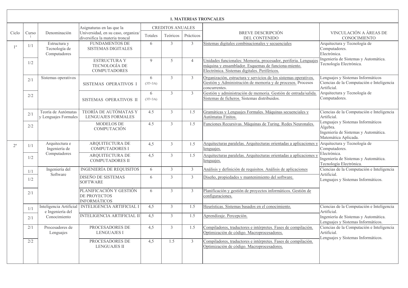|                | <b>1. MATERIAS TRONCALES</b> |                                               |                                                                                                   |                |                                     |                |                                                                                                                                                                         |                                                                                                               |  |
|----------------|------------------------------|-----------------------------------------------|---------------------------------------------------------------------------------------------------|----------------|-------------------------------------|----------------|-------------------------------------------------------------------------------------------------------------------------------------------------------------------------|---------------------------------------------------------------------------------------------------------------|--|
| Ciclo          | Curso                        | Denominación                                  | Asignaturas en las que la<br>Universidad, en su caso, organiza/<br>diversifica la materia troncal | Totales        | <b>CREDITOS ANUALES</b><br>Teóricos | Prácticos      | BREVE DESCRIPCIÓN<br>DEL CONTENIDO                                                                                                                                      | VINCULACIÓN A ÁREAS DE<br><b>CONOCIMIENTO</b>                                                                 |  |
| 1 <sup>0</sup> | 1/1                          | Estructura y<br>Tecnología de<br>Computadores | <b>FUNDAMENTOS DE</b><br><b>SISTEMAS DIGITALES</b>                                                | 6              | $\overline{3}$                      | $\mathfrak{Z}$ | Sistemas digitales combinacionales y secuenciales                                                                                                                       | Arquitectura y Tecnología de<br>Computadores.<br>Electrónica.                                                 |  |
|                | 1/2                          |                                               | <b>ESTRUCTURA Y</b><br><b>TECNOLOGÍA DE</b><br><b>COMPUTADORES</b>                                | 9              | 5                                   | $\overline{4}$ | Unidades funcionales: Memoria, procesador, periferia. Lenguajes<br>máquina y ensamblador. Esquemas de funciona-miento.<br>Electrónica. Sistemas digitales. Periféricos. | Ingeniería de Sistemas y Automática.<br>Tecnología Electrónica.                                               |  |
|                | 2/1                          | Sistemas operativos                           | SISTEMAS OPERATIVOS I                                                                             | 6<br>$(3T+3A)$ | $\overline{3}$                      | $\mathfrak{Z}$ | Organización, estructura y servicios de los sistemas operativos.<br>Gestión y Administración de memoria y de procesos. Procesos<br>concurrentes.                        | Lenguajes y Sistemas Informáticos<br>Ciencias de la Computación e Inteligencia<br>Artificial.                 |  |
|                | 2/2                          |                                               | SISTEMAS OPERATIVOS II                                                                            | 6<br>$(3T+3A)$ | $\mathfrak{Z}$                      | $\mathfrak{Z}$ | Gestión y administración de memoria. Gestión de entrada/salida.<br>Sistemas de ficheros. Sistemas distribuidos.                                                         | Arquitectura y Tecnología de<br>Computadores.                                                                 |  |
|                | 2/1                          | Teoría de Autómatas<br>y Lenguajes Formales   | TEORÍA DE AUTÓMATAS Y<br><b>LENGUAJES FORMALES</b>                                                | 4.5            | $\mathfrak{Z}$                      | 1.5            | Gramáticas y Lenguajes Formales. Máquinas secuenciales y<br>Autómatas Finitos.                                                                                          | Ciencias de la Computación e Inteligencia<br>Artificial.                                                      |  |
|                | 2/2                          |                                               | <b>MODELOS DE</b><br><b>COMPUTACIÓN</b>                                                           | 4.5            | $\mathfrak{Z}$                      | 1.5            | Funciones Recursivas. Máquinas de Turing. Redes Neuronales.                                                                                                             | Lenguajes y Sistemas Informáticos<br>Álgebra.<br>Ingeniería de Sistemas y Automática.<br>Matemática Aplicada. |  |
| $2^{\circ}$    | 1/1                          | Arquitectura e<br>Ingeniería de               | <b>ARQUITECTURA DE</b><br><b>COMPUTADORES I</b>                                                   | 4,5            | $\mathfrak{Z}$                      | 1.5            | Arquitecturas paralelas. Arquitecturas orientadas a aplicaciones y<br>lenguajes.                                                                                        | Arquitectura y Tecnología de<br>Computadores.                                                                 |  |
|                | 1/2                          | Computadores                                  | <b>ARQUITECTURA DE</b><br><b>COMPUTADORES II</b>                                                  | 4,5            | $\mathfrak{Z}$                      | 1.5            | Arquitecturas paralelas. Arquitecturas orientadas a aplicaciones y<br>lenguajes.                                                                                        | Electrónica.<br>Ingeniería de Sistemas y Automática.<br>Tecnología Electrónica.                               |  |
|                | 1/1                          | Ingeniería del                                | <b>INGENIERÍA DE REQUISITOS</b>                                                                   | 6              | $\overline{3}$                      | $\mathfrak{Z}$ | Análisis y definición de requisitos. Análisis de aplicaciones                                                                                                           | Ciencias de la Computación e Inteligencia                                                                     |  |
|                | 1/2                          | Software                                      | DISEÑO DE SISTEMAS<br><b>SOFTWARE</b>                                                             | 6              | $\overline{3}$                      | $\overline{3}$ | Diseño, propiedades y mantenimiento del software.                                                                                                                       | Artificial.<br>Lenguajes y Sistemas Informáticos.                                                             |  |
|                | 2/1                          |                                               | PLANIFICACIÓN Y GESTIÓN<br>DE PROYECTOS<br><b>INFORMÁTICOS</b>                                    | 6              | $\overline{3}$                      | $\overline{3}$ | Planificación y gestión de proyectos informáticos. Gestión de<br>configuraciones.                                                                                       |                                                                                                               |  |
|                | 1/1                          | Inteligencia Artificial<br>e Ingeniería del   | <b>INTELIGENCIA ARTIFICIAL I</b>                                                                  | 4.5            | $\mathcal{E}$                       | 1.5            | Heurísticas. Sistemas basados en el conocimiento.                                                                                                                       | Ciencias de la Computación e Inteligencia<br>Artificial.                                                      |  |
|                | 2/1                          | Conocimiento                                  | <b>INTELIGENCIA ARTIFICIAL II</b>                                                                 | 4.5            | $\mathfrak{Z}$                      | 1.5            | Aprendizaje. Percepción.                                                                                                                                                | Ingeniería de Sistemas y Automática.<br>Lenguajes y Sistemas Informáticos.                                    |  |
|                | 2/1                          | Procesadores de<br>Lenguajes                  | PROCESADORES DE<br><b>LENGUAJES I</b>                                                             | 4.5            | $\mathfrak{Z}$                      | 1.5            | Compiladores, traductores e intérpretes. Fases de compilación.<br>Optimización de código. Macroprocesadores.                                                            | Ciencias de la Computación e Inteligencia<br>Artificial.<br>Lenguajes y Sistemas Informáticos.                |  |
|                | 2/2                          |                                               | PROCESADORES DE<br><b>LENGUAJES II</b>                                                            | 4,5            | 1.5                                 | $\mathfrak{Z}$ | Compiladores, traductores e intérpretes. Fases de compilación.<br>Optimización de código. Macroprocesadores.                                                            |                                                                                                               |  |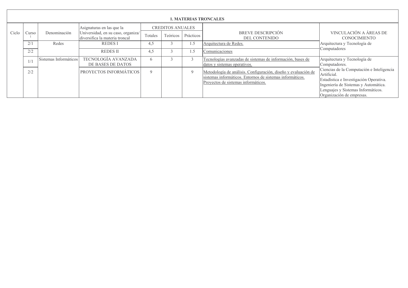|       | <b>1. MATERIAS TRONCALES</b> |                       |                                                                                                   |             |                                     |             |                                                                                                                                                                    |                                                                                                                                                                                                               |  |
|-------|------------------------------|-----------------------|---------------------------------------------------------------------------------------------------|-------------|-------------------------------------|-------------|--------------------------------------------------------------------------------------------------------------------------------------------------------------------|---------------------------------------------------------------------------------------------------------------------------------------------------------------------------------------------------------------|--|
| Ciclo | Curso                        | Denominación          | Asignaturas en las que la<br>Universidad, en su caso, organiza/<br>diversifica la materia troncal | Totales     | <b>CREDITOS ANUALES</b><br>Teóricos | Prácticos   | <b>BREVE DESCRIPCIÓN</b><br>DEL CONTENIDO                                                                                                                          | VINCULACIÓN A ÁREAS DE<br><b>CONOCIMIENTO</b>                                                                                                                                                                 |  |
|       | 2/1                          | Redes                 | <b>REDESI</b>                                                                                     | 4,5         |                                     | .5          | Arquitectura de Redes.                                                                                                                                             | Arquitectura y Tecnología de                                                                                                                                                                                  |  |
|       | 2/2                          |                       | <b>REDESII</b>                                                                                    | 4.5         |                                     | .5          | Comunicaciones                                                                                                                                                     | Computadores                                                                                                                                                                                                  |  |
|       | 1/1                          | Sistemas Informáticos | TECNOLOGÍA AVANZADA<br>DE BASES DE DATOS                                                          | h           |                                     |             | Tecnologías avanzadas de sistemas de información, bases de<br>datos y sistemas operativos.                                                                         | Arquitectura y Tecnología de<br>Computadores.                                                                                                                                                                 |  |
|       | 2/2                          |                       | <b>PROYECTOS INFORMÁTICOS</b>                                                                     | $\mathbf Q$ |                                     | $\mathbf Q$ | Metodología de análisis. Configuración, diseño y evaluación de<br>sistemas informáticos. Entornos de sistemas informáticos.<br>Proyectos de sistemas informáticos. | Ciencias de la Computación e Inteligencia<br>Artificial.<br>Estadística e Investigación Operativa.<br>Ingeniería de Sistemas y Automática.<br>Lenguajes y Sistemas Informáticos.<br>Organización de empresas. |  |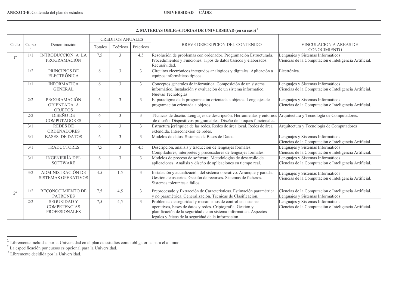**UNIVERSIDAD** CÁDIZ

|             |                        |                                                                   |         |                         |                | 2. MATERIAS OBLIGATORIAS DE UNIVERSIDAD (en su caso) <sup>1</sup>                                                                                                                                                                                    |                                                                                            |
|-------------|------------------------|-------------------------------------------------------------------|---------|-------------------------|----------------|------------------------------------------------------------------------------------------------------------------------------------------------------------------------------------------------------------------------------------------------------|--------------------------------------------------------------------------------------------|
|             |                        |                                                                   |         | <b>CREDITOS ANUALES</b> |                |                                                                                                                                                                                                                                                      |                                                                                            |
| Ciclo       | Curso<br>$\mathcal{L}$ | Denominación                                                      | Totales | Teóricos                | Prácticos      | BREVE DESCRIPCION DEL CONTENIDO                                                                                                                                                                                                                      | <b>VINCULACION A AREAS DE</b><br>CONOCIMIENTO <sup>3</sup>                                 |
| $1^{\circ}$ | 1/1                    | INTRODUCCIÓN A LA<br>PROGRAMACIÓN                                 | 7,5     | $\overline{3}$          | 4,5            | Resolución de problemas con ordenador. Programación Estructurada.<br>Procedimientos y Funciones. Tipos de datos básicos y elaborados.<br>Recursividad                                                                                                | Lenguajes y Sistemas Informáticos<br>Ciencias de la Computación e Inteligencia Artificial. |
|             | 1/2                    | PRINCIPIOS DE<br><b>ELECTRÓNICA</b>                               | 6       | 3                       | $\mathfrak{Z}$ | Circuitos electrónicos integrados analógicos y digitales. Aplicación a<br>equipos informáticos típicos.                                                                                                                                              | Electrónica.                                                                               |
|             | 1/1                    | <b>INFORMÁTICA</b><br><b>GENERAL</b>                              | 6       | $\overline{3}$          | $\mathfrak{Z}$ | Conceptos generales de informática. Composición de un sistema<br>informático. Instalación y evaluación de un sistema informático.<br>Nuevas Tecnologías                                                                                              | Lenguajes y Sistemas Informáticos<br>Ciencias de la Computación e Inteligencia Artificial. |
|             | $2/2$                  | PROGRAMACIÓN<br>ORIENTADA A<br><b>OBJETOS</b>                     | 6       | 3                       | $\mathfrak{Z}$ | El paradigma de la programación orientada a objetos. Lenguajes de<br>programación orientada a objetos.                                                                                                                                               | Lenguajes y Sistemas Informáticos<br>Ciencias de la Computación e Inteligencia Artificial. |
|             | 2/2                    | <b>DISEÑO DE</b><br><b>COMPUTADORES</b>                           | 6       | $\mathfrak{Z}$          | $\mathfrak{Z}$ | Técnicas de diseño. Lenguajes de descripción. Herramientas y entornos Arquitectura y Tecnología de Computadores.<br>de diseño. Dispositivos programables. Diseño de bloques funcionales.                                                             |                                                                                            |
|             | 3/1                    | <b>REDES DE</b><br><b>ORDENADORES</b>                             | 6       | $\mathfrak{Z}$          | $\mathfrak{Z}$ | Estructura jerárquica de las redes. Redes de área local. Redes de área<br>extendida. Interconexión de redes.                                                                                                                                         | Arquitectura y Tecnología de Computadores                                                  |
|             | 3/1                    | <b>BASES DE DATOS</b>                                             | 6       | $\overline{3}$          | $\overline{3}$ | Modelos de datos. Sistemas de Bases de Datos.                                                                                                                                                                                                        | Lenguajes y Sistemas Informáticos<br>Ciencias de la Computación e Inteligencia Artificial. |
|             | 3/1                    | <b>TRADUCTORES</b>                                                | 7,5     | 3                       | 4.5            | Descripción, análisis y traducción de lenguajes formales.<br>Compiladores, intérpretes y procesadores de lenguajes formales.                                                                                                                         | Lenguajes y Sistemas Informáticos<br>Ciencias de la Computación e Inteligencia Artificial. |
|             | 3/1                    | <b>INGENIERÍA DEL</b><br><b>SOFTWARE</b>                          | 6       | $\mathfrak{Z}$          | $\mathfrak{Z}$ | Modelos de proceso de software. Metodologías de desarrollo de<br>aplicaciones. Análisis y diseño de aplicaciones en tiempo real.                                                                                                                     | Lenguajes y Sistemas Informáticos<br>Ciencias de la Computación e Inteligencia Artificial. |
|             | 3/2                    | ADMINISTRACIÓN DE<br><b>SISTEMAS OPERATIVOS</b>                   | 4.5     | 1.5                     | $\mathfrak{Z}$ | Instalación y actualización del sistema operativo. Arranque y parada.<br>Gestión de usuarios. Gestión de recursos. Sistemas de ficheros.<br>Sistemas tolerantes a fallos.                                                                            | Lenguajes y Sistemas Informáticos<br>Ciencias de la Computación e Inteligencia Artificial. |
| $2^{\circ}$ | 1/2                    | RECONOCIMIENTO DE<br><b>PATRONES</b>                              | 7,5     | 4,5                     | $\mathfrak{Z}$ | Preprocesado y Extracción de Características. Estimación paramétrica<br>y no paramétrica. Generalización. Técnicas de Clasificación.                                                                                                                 | Ciencias de la Computación e Inteligencia Artificial.<br>Lenguajes y Sistemas Informáticos |
|             | 2/2                    | <b>SEGURIDAD Y</b><br><b>COMPETENCIAS</b><br><b>PROFESIONALES</b> | 7,5     | 4,5                     | $\mathfrak{Z}$ | Problemas de seguridad y mecanismos de control en sistemas<br>operativos, bases de datos y redes. Criptografía, Gestión y<br>planificación de la seguridad de un sistema informático. Aspectos<br>legales y éticos de la seguridad de la información | Lenguajes y Sistemas Informáticos<br>Ciencias de la Computación e Inteligencia Artificial. |

The Theorem incluidas por la Universidad en el plan de estudios como obligatorias para el alumno.<br>
<sup>2</sup> La especificación por cursos es opcional para la Universidad.<br>
<sup>3</sup> Libremente decidida por la Universidad.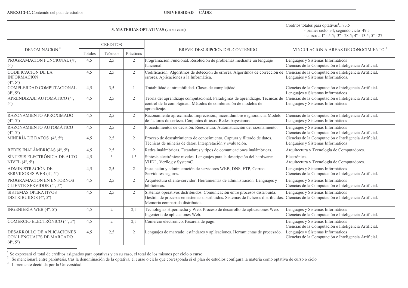ANEXO 2-C. Contenido del plan de estudios

**UNIVERSIDAD CÁDIZ** 

|                                                                                    |                                  |                 |                | 3. MATERIAS OPTATIVAS (en su caso)                                                                                                                                                                | Créditos totales para optativas <sup>1</sup> 83.5<br>- primer ciclo 34; segundo ciclo 49.5<br>- curso: 1° - 5.5; $3^{\circ}$ - 28.5; $4^{\circ}$ - 13.5; $5^{\circ}$ - 27; |  |
|------------------------------------------------------------------------------------|----------------------------------|-----------------|----------------|---------------------------------------------------------------------------------------------------------------------------------------------------------------------------------------------------|----------------------------------------------------------------------------------------------------------------------------------------------------------------------------|--|
|                                                                                    |                                  | <b>CREDITOS</b> |                |                                                                                                                                                                                                   |                                                                                                                                                                            |  |
| DENOMINACION <sup>2</sup>                                                          | Teóricos<br>Prácticos<br>Totales |                 |                | BREVE DESCRIPCION DEL CONTENIDO                                                                                                                                                                   | VINCULACION A AREAS DE CONOCIMIENTO <sup>3</sup>                                                                                                                           |  |
| PROGRAMACIÓN FUNCIONAL (4°,<br>$5^{\circ}$ )                                       | 4,5                              | 2,5             | $\overline{2}$ | Programación Funcional. Resolución de problemas mediante un lenguaje<br>funcional.                                                                                                                | Lenguajes y Sistemas Informáticos<br>Ciencias de la Computación e Inteligencia Artificial.                                                                                 |  |
| CODIFICACIÓN DE LA<br><b>INFORMACIÓN</b><br>$(4^{\circ}, 5^{\circ})$               | 4,5                              | 2,5             | $\overline{2}$ | Codificación. Algoritmos de detección de errores. Algoritmos de corrección de Ciencias de la Computación e Inteligencia Artificial.<br>errores. Aplicaciones a la Informática.                    | Lenguajes y Sistemas Informáticos.                                                                                                                                         |  |
| COMPLEJIDAD COMPUTACIONAL<br>$(4^{\circ}, 5^{\circ})$                              | 4,5                              | 3,5             | -1             | Tratabilidad e intratabilidad. Clases de complejidad.                                                                                                                                             | Ciencias de la Computación e Inteligencia Artificial.<br>Lenguajes y Sistemas Informáticos                                                                                 |  |
| APRENDIZAJE AUTOMÁTICO (4°,<br>$5^{\circ}$ )                                       | 4,5                              | 2,5             | 2              | Teoría del aprendizaje computacional. Paradigmas de aprendizaje. Técnicas de<br>control de la complejidad. Métodos de combinación de modelos de<br>aprendizaje.                                   | Ciencias de la Computación e Inteligencia Artificial.<br>Lenguajes y Sistemas Informáticos                                                                                 |  |
| RAZONAMIENTO APROXIMADO<br>$(4^{\circ}, 5^{\circ})$                                | 4,5                              | 2,5             | 2              | Razonamiento aproximado. Imprecisión., incertidumbre e ignorancia. Modelo<br>de factores de certeza. Conjuntos difusos. Redes bayesianas.                                                         | Ciencias de la Computación e Inteligencia Artificial.<br>Lenguajes y Sistemas Informáticos                                                                                 |  |
| RAZONAMIENTO AUTOMÁTICO<br>$(4^{\circ}, 5^{\circ})$                                | 4,5                              | 2,5             | 2              | Procedimientos de decisión. Reescritura. Automatización del razonamiento.                                                                                                                         | Lenguajes y Sistemas Informáticos<br>Ciencias de la Computación e Inteligencia Artificial.                                                                                 |  |
| MINERÍA DE DATOS $(4^{\circ}, 5^{\circ})$                                          | 4,5                              | 2,5             | $\overline{2}$ | Proceso de descubrimiento de conocimiento. Captura y filtrado de datos.<br>Técnicas de minería de datos. Interpretación y evaluación.                                                             | Ciencias de la Computación e Inteligencia Artificial.<br>Lenguajes y Sistemas Informáticos                                                                                 |  |
| REDES INALÁMBRICAS (4°, 5°)                                                        | 4,5                              | 2,5             | $\overline{2}$ | Redes inalámbricas. Estándares y tipos de comunicaciones inalámbricas.                                                                                                                            | Arquitectura y Tecnología de Computadores.                                                                                                                                 |  |
| SÍNTESIS ELECTRÓNICA DE ALTO<br>NIVEL $(4^{\circ}, 5^{\circ})$                     | 4,5                              | $\mathfrak{Z}$  | 1,5            | Síntesis electrónica: niveles. Lenguajes para la descripción del hardware:<br>VHDL, Verilog y SystemC.                                                                                            | Electrónica.<br>Arquitectura y Tecnología de Computadores.                                                                                                                 |  |
| ADMINISTRACIÓN DE<br>SERVIDORES WEB (4°, 5°)                                       | 4,5                              | 2,5             | $\overline{2}$ | Instalación y administración de servidores WEB, DNS, FTP, Correo.<br>Servidores seguros.                                                                                                          | Lenguajes y Sistemas Informáticos<br>Ciencias de la Computación e Inteligencia Artificial.                                                                                 |  |
| PROGRAMACIÓN EN ENTORNOS<br>CLIENTE-SERVIDOR (4°, 5°)                              | 4,5                              | 2,5             | $\overline{2}$ | Arquitectura cliente-servidor. Herramientas de administración. Lenguajes y<br>bibliotecas.                                                                                                        | Lenguajes y Sistemas Informáticos<br>Ciencias de la Computación e Inteligencia Artificial.                                                                                 |  |
| <b>SISTEMAS OPERATIVOS</b><br>DISTRIBUIDOS (4°, 5°)                                | 4,5                              | 2,5             | $\overline{2}$ | Sistemas operativos distribuidos. Comunicación entre procesos distribuida.<br>Gestión de procesos en sistemas distribuidos. Sistemas de ficheros distribuidos.<br>Memoria compartida distribuida. | Lenguajes y Sistemas Informáticos<br>Ciencias de la Computación e Inteligencia Artificial.                                                                                 |  |
| INGENIERÍA WEB $(4^{\circ}, 5^{\circ})$                                            | 4,5                              | $\overline{2}$  | 2,5            | Tecnologías Hipermedia y Web. Proceso de desarrollo de aplicaciones Web.<br>Ingeniería de aplicaciones Web.                                                                                       | Lenguajes y Sistemas Informáticos<br>Ciencias de la Computación e Inteligencia Artificial.                                                                                 |  |
| COMERCIO ELECTRÓNICO (4°, 5°)                                                      | 4,5                              | $\overline{2}$  | 2,5            | Comercio electrónico. Pasarela de pago.                                                                                                                                                           | Lenguajes y Sistemas Informáticos<br>Ciencias de la Computación e Inteligencia Artificial.                                                                                 |  |
| DESARROLLO DE APLICACIONES<br>CON LENGUAJES DE MARCADO<br>$(4^{\circ}, 5^{\circ})$ | 4,5                              | 2,5             | $\overline{2}$ | Lenguajes de marcado: estándares y aplicaciones. Herramientas de procesado.                                                                                                                       | Lenguajes y Sistemas Informáticos<br>Ciencias de la Computación e Inteligencia Artificial.                                                                                 |  |

<sup>&</sup>lt;sup>1</sup> Se expresará el total de créditos asignados para optativas y en su caso, el total de los mismos por ciclo o curso.<br><sup>2</sup> Se mencionará entre paréntesis, tras la denominación de la optativa, el curso o ciclo que correspo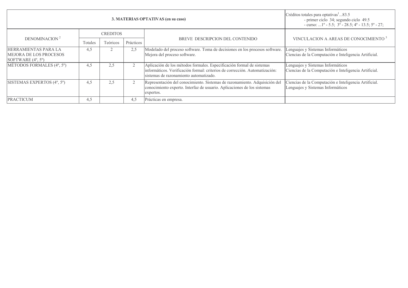|                                                                                            | Créditos totales para optativas <sup>1</sup> 83.5<br>- primer ciclo 34; segundo ciclo 49.5<br>- curso: 1 <sup>o</sup> - 5.5; $3^{\circ}$ - 28.5; $4^{\circ}$ - 13.5; $5^{\circ}$ - 27; |                                                                                                                                                                    |                                                                                            |                                                                                                                                                                                                |                                                                                            |  |
|--------------------------------------------------------------------------------------------|----------------------------------------------------------------------------------------------------------------------------------------------------------------------------------------|--------------------------------------------------------------------------------------------------------------------------------------------------------------------|--------------------------------------------------------------------------------------------|------------------------------------------------------------------------------------------------------------------------------------------------------------------------------------------------|--------------------------------------------------------------------------------------------|--|
|                                                                                            |                                                                                                                                                                                        | <b>CREDITOS</b>                                                                                                                                                    |                                                                                            |                                                                                                                                                                                                |                                                                                            |  |
| DENOMINACION <sup>2</sup>                                                                  | Teóricos<br>Totales                                                                                                                                                                    |                                                                                                                                                                    | Prácticos                                                                                  | BREVE DESCRIPCION DEL CONTENIDO                                                                                                                                                                | VINCULACION A AREAS DE CONOCIMIENTO <sup>3</sup>                                           |  |
| HERRAMIENTAS PARA LA<br><b>MEJORA DE LOS PROCESOS</b><br>SOFTWARE $(4^{\circ}, 5^{\circ})$ | 4,5                                                                                                                                                                                    |                                                                                                                                                                    | 2,5                                                                                        | Modelado del proceso software. Toma de decisiones en los procesos software.<br>Mejora del proceso software.                                                                                    | Lenguajes y Sistemas Informáticos<br>Ciencias de la Computación e Inteligencia Artificial. |  |
| MÉTODOS FORMALES (4°, 5°)                                                                  | 4.5                                                                                                                                                                                    | 2.5                                                                                                                                                                | $\overline{2}$                                                                             | Aplicación de los métodos formales. Especificación formal de sistemas<br>informáticos. Verificación formal: criterios de corrección. Automatización:<br>sistemas de razonamiento automatizado. | Lenguajes y Sistemas Informáticos<br>Ciencias de la Computación e Inteligencia Artificial. |  |
| SISTEMAS EXPERTOS (4°, 5°)<br>2.5<br>$\overline{2}$<br>4.5                                 |                                                                                                                                                                                        | Representación del conocimiento. Sistemas de razonamiento. Adquisición del<br>conocimiento experto. Interfaz de usuario. Aplicaciones de los sistemas<br>expertos. | Ciencias de la Computación e Inteligencia Artificial.<br>Lenguajes y Sistemas Informáticos |                                                                                                                                                                                                |                                                                                            |  |
| <b>PRACTICUM</b>                                                                           | 4,5                                                                                                                                                                                    |                                                                                                                                                                    | 4.5                                                                                        | Prácticas en empresa.                                                                                                                                                                          |                                                                                            |  |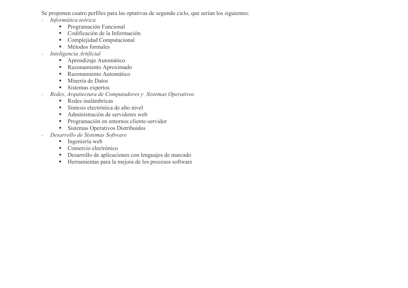Se proponen cuatro perfiles para las optativas de segundo ciclo, que serían los siguientes:

- Informática teórica  $\mathbb{L}$ 
	- Programación Funcional
	- Codificación de la Información
	- Complejidad Computacional  $\mathbf{u}$
	- Métodos formales
- Inteligencia Artificial
	- Aprendizaje Automático
	- Razonamiento Aproximado  $\blacksquare$
	- Razonamiento Automático
	- Minería de Datos
	- Sistemas expertos  $\blacksquare$
- Redes, Arquitectura de Computadores y Sistemas Operativos  $\overline{a}$ 
	- Redes inalámbricas
	- Síntesis electrónica de alto nivel  $\mathbf{u}$  .
	- Administración de servidores web
	- Programación en entornos cliente-servidor
	- Sistemas Operativos Distribuidos
- Desarrollo de Sistemas Software  $\sim$ 
	- Ingeniería web
	- Comercio electrónico
	- Desarrollo de aplicaciones con lenguajes de marcado
	- Herramientas para la mejora de los procesos software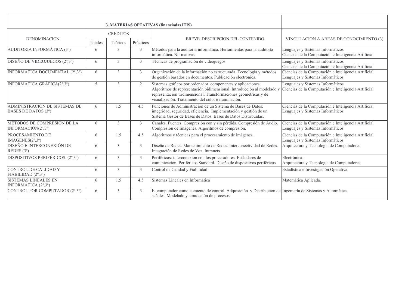|                                                      |         |                 |                | 3. MATERIAS OPTATIVAS (financiadas ITIS)                                                                                                                                                                                                                          |                                                                                            |
|------------------------------------------------------|---------|-----------------|----------------|-------------------------------------------------------------------------------------------------------------------------------------------------------------------------------------------------------------------------------------------------------------------|--------------------------------------------------------------------------------------------|
|                                                      |         | <b>CREDITOS</b> |                |                                                                                                                                                                                                                                                                   |                                                                                            |
| <b>DENOMINACION</b>                                  | Totales | Teóricos        | Prácticos      | BREVE DESCRIPCION DEL CONTENIDO                                                                                                                                                                                                                                   | VINCULACION A AREAS DE CONOCIMIENTO (3)                                                    |
| AUDITORIA INFORMÁTICA (3°)                           | 6       | 3               | $\mathfrak{Z}$ | Métodos para la auditoría informática. Herramientas para la auditoría<br>informática. Normativas.                                                                                                                                                                 | enguajes y Sistemas Informáticos<br>Ciencias de la Computación e Inteligencia Artificial.  |
| DISEÑO DE VIDEOJUEGOS (2°,3°)                        | 6       | 3               | 3              | Técnicas de programación de videojuegos.                                                                                                                                                                                                                          | Lenguajes y Sistemas Informáticos<br>Ciencias de la Computación e Inteligencia Artificial. |
| INFORMÁTICA DOCUMENTAL (2°,3°)                       | 6       | 3               | $\mathfrak{Z}$ | Organización de la información no estructurada. Tecnología y métodos<br>de gestión basados en documentos. Publicación electrónica.                                                                                                                                | Ciencias de la Computación e Inteligencia Artificial.<br>Lenguajes y Sistemas Informáticos |
| INFORMÁTICA GRÁFICA(2°,3°)                           | 5       | $\mathcal{E}$   | $\overline{2}$ | Sistemas gráficos por ordenador, componentes y aplicaciones.<br>Algoritmos de representación bidimensional. Introducción al modelado y<br>representación tridimensional. Transformaciones geométricas y de<br>visualización. Tratamiento del color e iluminación. | Lenguajes y Sistemas Informáticos<br>Ciencias de la Computación e Inteligencia Artificial. |
| ADMINISTRACIÓN DE SISTEMAS DE<br>BASES DE DATOS (3°) | 6       | 1.5             | 4.5            | Funciones de Administración de un Sistema de Bases de Datos:<br>integridad, seguridad, eficiencia. Implementación y gestión de un<br>Sistema Gestor de Bases de Datos. Bases de Datos Distribuidas.                                                               | Ciencias de la Computación e Inteligencia Artificial.<br>Lenguajes y Sistemas Informáticos |
| MÉTODOS DE COMPRESIÓN DE LA<br>INFORMACIÓN(2°,3°)    | 6       | $\mathcal{E}$   | 3              | Canales. Fuentes. Compresión con y sin pérdida. Compresión de Audio.<br>Compresión de Imágenes. Algoritmos de compresión.                                                                                                                                         | Ciencias de la Computación e Inteligencia Artificial.<br>Lenguajes y Sistemas Informáticos |
| PROCESAMIENTO DE<br>IMÁGENES $(2^{\circ},3^{\circ})$ | 6       | 1.5             | 4.5            | Algoritmos y técnicas para el procesamiento de imágenes.                                                                                                                                                                                                          | Ciencias de la Computación e Inteligencia Artificial.<br>Lenguajes y Sistemas Informáticos |
| DISEÑO E INTERCONEXIÓN DE<br>REDES $(3^{\circ})$     | 6       | $\overline{3}$  | $\mathfrak{Z}$ | Diseño de Redes. Mantenimiento de Redes. Interconectividad de Redes.<br>Integración de Redes de Voz. Intranets.                                                                                                                                                   | Arquitectura y Tecnología de Computadores.                                                 |
| DISPOSITIVOS PERIFÉRICOS. (2°,3°)                    | 6       | 3               | 3              | Periféricos: interconexión con los procesadores. Estándares de<br>comunicación. Periféricos Standard. Diseño de dispositivos periféricos.                                                                                                                         | Electrónica.<br>Arquitectura y Tecnología de Computadores.                                 |
| CONTROL DE CALIDAD Y<br>FIABILIDAD (2°,3°)           | 6       | 3               | 3              | Control de Calidad y Fiabilidad                                                                                                                                                                                                                                   | Estadística e Investigación Operativa.                                                     |
| <b>SISTEMAS LINEALES EN</b><br>INFORMÁTICA (2°,3°)   | 6       | 1.5             | 4.5            | Sistemas Lineales en Informática                                                                                                                                                                                                                                  | Matemática Aplicada.                                                                       |
| CONTROL POR COMPUTADOR (2°,3°)                       | 6       | 3               | $\mathfrak{Z}$ | El computador como elemento de control. Adquisición y Distribución de Ingeniería de Sistemas y Automática.<br>señales. Modelado y simulación de procesos.                                                                                                         |                                                                                            |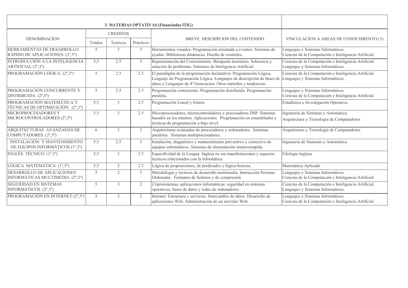|                                                                |         |                 |                | 3. MATERIAS OPTATIVAS (Financiadas ITIG)                                                                                                                                                                                                         |                                                                                             |
|----------------------------------------------------------------|---------|-----------------|----------------|--------------------------------------------------------------------------------------------------------------------------------------------------------------------------------------------------------------------------------------------------|---------------------------------------------------------------------------------------------|
|                                                                |         | <b>CREDITOS</b> |                |                                                                                                                                                                                                                                                  |                                                                                             |
| <b>DENOMINACION</b>                                            | Totales | Teóricos        | Prácticos      | BREVE DESCRIPCION DEL CONTENIDO                                                                                                                                                                                                                  | VINCULACION A AREAS DE CONOCIMIENTO (3)                                                     |
| HERRAMIENTAS DE DESARROLLO<br>RÁPIDO DE APLICACIONES. (2°,3°)  | 5       | $\overline{2}$  | $\mathfrak{Z}$ | Herramientas visuales. Programación orientada a eventos. Sistemas de<br>ayudas. Bibliotecas dinámicas. Diseño de controles.                                                                                                                      | Lenguajes y Sistemas Informáticos.<br>Ciencias de la Computación e Inteligencia Artificial. |
| INTRODUCCIÓN A LA INTELIGENCIA<br>ARTIFICIAL (2°,3°)           | 5,5     | 2.5             | $\overline{3}$ | Representación del Conocimiento. Búsqueda heurística. Inferencia y<br>solución de problemas. Entornos de Inteligencia Artificial.                                                                                                                | Ciencias de la Computación e Inteligencia Artificial.<br>Lenguajes y Sistemas Informáticos. |
| PROGRAMACIÓN LÓGICA. (2°,3°)                                   | 5       | 2.5             | 2.5            | El paradigma de la programación declarativa. Programación Lógica.<br>Lenguaje de Programación Lógica. Lenguajes de descripción de bases de Lenguajes y Sistemas Informáticos.<br>datos y Lenguajes de 4ª Generación. Otros métodos y tendencias. | Ciencias de la Computación e Inteligencia Artificial.                                       |
| PROGRAMACIÓN CONCURRENTE Y<br>DISTRIBUIDA. (2°,3°)             | 5       | 2.5             | 2.5            | Programación concurrente. Programación distribuida. Programación<br>paralela.                                                                                                                                                                    | Lenguajes y Sistemas Informáticos<br>Ciencias de la Computación e Inteligencia Artificial.  |
| PROGRAMACIÓN MATEMÁTICA Y<br>TÉCNICAS DE OPTIMIZACIÓN. (2°,3°) | 5.5     | 3               | 2.5            | Programación Lineal y Entera                                                                                                                                                                                                                     | Estadística e Investigación Operativa.                                                      |
| MICROPROCESADORES Y<br>MICROCONTROLADORES (2°,3°)              | 5.5     | 3               | 2.5            | Microprocesadores, microcontroladores y procesadores DSP. Sistemas<br>basados en los mismos. Aplicaciones. Programación en ensamblador y<br>técnicas de programación a bajo nivel.                                                               | Ingeniería de Sistemas y Automática.<br>Arquitectura y Tecnología de Computadores           |
| ARQUITECTURAS AVANZADAS DE<br>COMPUTADORES. (2°,3°)            | 6       | 3               | $\mathfrak{Z}$ | Arquitecturas avanzadas de procesadores y ordenadores. Sistemas<br>paralelos. Sistemas multiprocesadores.                                                                                                                                        | Arquitectura y Tecnología de Computadores                                                   |
| INSTALACIÓN Y MANTENIMIENTO<br>DE EQUIPOS INFORMÁTICOS (1º,3º) | 5.5     | 2.5             | $\mathfrak{Z}$ | Instalación, diagnóstico y mantenimiento preventivo y correctivo de<br>equipos informáticos. Sistemas de alimentación ininterrumpida.                                                                                                            | Ingeniería de Sistemas y Automática.                                                        |
| INGLÉS TÉCNICO. (1°,3°)                                        | 5.5     | $\mathfrak{Z}$  | 2.5            | Especificidad de la Lengua Inglesa en sus manifestaciones y aspectos<br>técnicos relacionados con la informática.                                                                                                                                | Filología Inglesa                                                                           |
| LÓGICA MATEMÁTICA. (1°,3°)                                     | 5.5     | $\mathfrak{Z}$  | 2.5            | Lógica de proposiciones, de predicados y lógica borrosa.                                                                                                                                                                                         | Matemática Aplicada.                                                                        |
| DESARROLLO DE APLICACIONES<br>INFORMÁTICAS MULTIMEDIA. (2°,3°) | 5       | $\overline{2}$  | $\mathfrak{Z}$ | Metodología y técnicas de desarrollo multimedia. Interacción Persona-<br>Ordenador. Formatos de ficheros y de compresión.                                                                                                                        | Lenguajes y Sistemas Informáticos.<br>Ciencias de la Computación e Inteligencia Artificial. |
| <b>SEGURIDAD EN SISTEMAS</b><br>INFORMÁTICOS. (2°,3°)          | 5       | 3               | $\overline{2}$ | Criptosistemas, aplicaciones informáticas: seguridad en sistemas<br>operativos, bases de datos y redes de ordenadores.                                                                                                                           | Ciencias de la Computación e Inteligencia Artificial.<br>Lenguajes y Sistemas Informáticos. |
| PROGRAMACIÓN EN INTERNET (2°,3°)                               | 5       | 3               | $\overline{2}$ | Internet: Estructura y servicios. Intercambio de datos. Desarrollo de<br>aplicaciones Web. Administración de un servidor Web.                                                                                                                    | Lenguajes y Sistemas Informáticos<br>Ciencias de la Computación e Inteligencia Artificial   |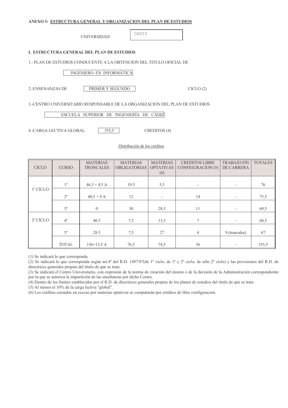## ANEXO 3: ESTRUCTURA GENERAL Y ORGANIZACION DEL PLAN DE ESTUDIOS

UNIVERSIDAD:

CADIZ

# **I. ESTRUCTURA GENERAL DEL PLAN DE ESTUDIOS**

1.- PLAN DE ESTUDIOS CONDUCENTE A LA OBTENCION DEL TITULO OFICIAL DE

# INGENIERO EN INFORMÁTICA

2.-ENSENANZAS DE

PRIMER Y SEGUNDO

 $CICLO(2)$ 

3.-CENTRO UNIVERSITARIO RESPONSABLE DE LA ORGANIZACIÓN DEL PLAN DE ESTUDIOS

ESCUELA SUPERIOR DE INGENIERÍA DE CÁDIZ

**4.-CARGA LECTIVA GLOBAL** 

 $355.5$ 

CREDITOS (4)

# Distribución de los créditos

| <b>CICLO</b>      | <b>CURSO</b>   | <b>MATERIAS</b><br><b>TRONCALES</b> | <b>MATERIAS</b><br><b>OBLIGATORIAS</b> | <b>MATERIAS</b><br><b>OPTATIVAS</b><br>(6) | <b>CREDITOS LIBRE</b><br><b>CONFIGURACION (5)</b> | <b>TRABAJO FIN</b><br>DE CARRERA | <b>TOTALES</b> |
|-------------------|----------------|-------------------------------------|----------------------------------------|--------------------------------------------|---------------------------------------------------|----------------------------------|----------------|
|                   |                |                                     |                                        |                                            |                                                   |                                  |                |
|                   | $1^{\circ}$    | $46,5 + 4,5$ A                      | 19.5                                   | 5,5                                        | $\overline{\phantom{0}}$                          | $\overline{\phantom{a}}$         | 76             |
| $1^{\circ}$ CICLO |                |                                     |                                        |                                            |                                                   |                                  |                |
|                   | $2^{\circ}$    | $40.5 + 9$ A                        | 12                                     | $\overline{\phantom{a}}$                   | 14                                                | $\overline{\phantom{a}}$         | 75,5           |
|                   |                |                                     |                                        |                                            |                                                   |                                  |                |
|                   | 3 <sup>o</sup> | $\overline{0}$                      | 30                                     | 28,5                                       | 11                                                | $\overline{\phantom{a}}$         | 69,5           |
| 2º CICLO          | $4^{\circ}$    | 40.5                                | 7,5                                    | 13,5                                       | 7                                                 |                                  | 68,5           |
|                   |                |                                     |                                        |                                            |                                                   |                                  |                |
|                   | $5^{\circ}$    | 28.5                                | 7,5                                    | 27                                         | $\overline{4}$                                    | 9 (troncales)                    | 67             |
|                   |                |                                     |                                        |                                            |                                                   |                                  |                |
|                   | <b>TOTAL</b>   | $156+13,5A$                         | 76,5                                   | 74,5                                       | 36                                                |                                  | 355,5          |

(1) Se indicará lo que corresponda.

(2) Se indicará lo que corresponda según art.4° del R.D. 1497/87(de 1° ciclo; de 1° y 2° ciclo; de sólo 2° ciclo) y las previsiones del R.D. de directrices generales propias del título de que se trate.

(3) Se indicará el Centro Universitario, con expresión de la norma de creación del mismo o de la decisión de la Administración correspondiente por la que se autoriza la impartición de las enseñanzas por dicho Centro.

(4) Dentro de los límites establecidos por el R.D. de directrices generales propias de los planes de estudios del título de que se trate.

(5) Al menos el 10% de la carga lectiva "global".

(6) Los créditos cursados en exceso por materias optativas se computarán por créditos de libre configuración.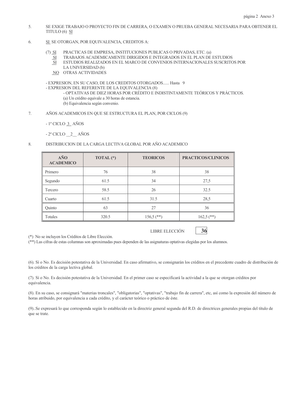- $5<sub>1</sub>$ SE EXIGE TRABAJO O PROYECTO FIN DE CARRERA, O EXAMEN O PRUEBA GENERAL NECESARIA PARA OBTENER EL TITULO (6) SI
- SI SE OTORGAN, POR EQUIVALENCIA, CREDITOS A: 6.

PRACTICAS DE EMPRESA, INSTITUCIONES PUBLICAS O PRIVADAS, ETC. (a)  $(7)$  SI

- TRABAJOS ACADEMICAMENTE DIRIGIDOS E INTEGRADOS EN EL PLAN DE ESTUDIOS  $S<sub>I</sub>$
- **SI** ESTUDIOS REALIZADOS EN EL MARCO DE CONVENIOS INTERNACIONALES SUSCRITOS POR
- LA UNIVERSIDAD (b)
- NO OTRAS ACTIVIDADES

- EXPRESION, EN SU CASO, DE LOS CREDITOS OTORGADOS...... Hasta 9 - EXPRESION DEL REFERENTE DE LA EQUIVALENCIA (8)

- OPTATIVAS DE DIEZ HORAS POR CRÉDITO E INDISTINTAMENTE TEÓRICOS Y PRÁCTICOS. (a) Un crédito equivale a 30 horas de estancia. (b) Equivalencia según convenio.

 $7.$ AÑOS ACADEMICOS EN QUE SE ESTRUCTURA EL PLAN, POR CICLOS (9)

 $-1^\circ$  CICLO 3 AÑOS

8.

 $-2^{\circ}$  CICLO 2 AÑOS

TOTAL<sup>(\*)</sup> AÑO **TEORICOS** PRACTICOS/CLINICOS

DISTRIBUCION DE LA CARGA LECTIVA GLOBAL POR AÑO ACADEMICO

| ACADEMICO |       |              |              |
|-----------|-------|--------------|--------------|
| Primero   | 76    | 38           | 38           |
| Segundo   | 61.5  | 34           | 27,5         |
| Tercero   | 58.5  | 26           | 32.5         |
| Cuarto    | 61.5  | 31.5         | 28,5         |
| Quinto    | 63    | 27           | 36           |
| Totales   | 320.5 | $156,5$ (**) | $162,5$ (**) |
|           |       |              |              |

(\*) No se incluyen los Créditos de Libre Elección.

(\*\*) Las cifras de estas columnas son aproximadas pues dependen de las asignaturas optativas elegidas por los alumnos.

(6). Sí o No. Es decisión potestativa de la Universidad. En caso afirmativo, se consignarán los créditos en el precedente cuadro de distribución de los créditos de la carga lectiva global.

LIBRE ELECCIÓN

36

(7). Sí o No. Es decisión potestativa de la Universidad. En el primer caso se especificará la actividad a la que se otorgan créditos por equivalencia.

(8). En su caso, se consignará "materias troncales", "obligatorias", "optativas", "trabajo fin de carrera", etc, así como la expresión del número de horas atribuido, por equivalencia a cada crédito, y el carácter teórico o práctico de éste.

(9). Se expresará lo que corresponda según lo establecido en la directriz general segunda del R.D. de directrices generales propias del título de que se trate.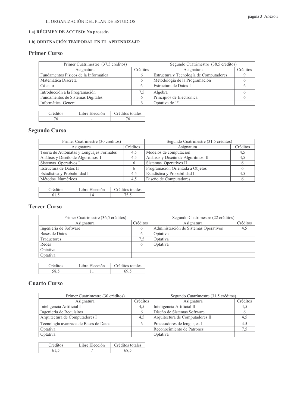# 1.a) RÉGIMEN DE ACCESO: No procede.

# 1.b) ORDENACIÓN TEMPORAL EN EL APRENDIZAJE:

# **Primer Curso**

| Primer Cuatrimestre (37,5 créditos)   |          | Segundo Cuatrimestre (38.5 créditos)    |          |
|---------------------------------------|----------|-----------------------------------------|----------|
| Asignatura                            | Créditos | Asignatura                              | Créditos |
| Fundamentos Físicos de la Informática |          | Estructura y Tecnología de Computadores |          |
| Matemática Discreta                   |          | Metodología de la Programación          |          |
| Cálculo                               |          | Estructura de Datos I                   |          |
| Introducción a la Programación        | 7.5      | Algebra                                 |          |
| Fundamentos de Sistemas Digitales     |          | Principios de Electrónica               |          |
| Informática General                   |          | Optativa de 1 <sup>°</sup>              |          |

| Créditos | Libre Elección | Créditos totales |
|----------|----------------|------------------|
|          |                |                  |

# **Segundo Curso**

| Primer Cuatrimestre (30 créditos)        |          | Segundo Cuatrimestre (31.5 créditos) |             |
|------------------------------------------|----------|--------------------------------------|-------------|
| Asignatura                               | Créditos | Créditos<br>Asignatura               |             |
| Teoría de Autómatas y Lenguajes Formales | 4.5      | Modelos de computación               | 4.5         |
| Análisis y Diseño de Algoritmos I        | 4.5      | Análisis y Diseño de Algoritmos II   | 4.1         |
| Sistemas Operativos I                    |          | Sistemas Operativos II               |             |
| Estructura de Datos II                   |          | Programación Orientada a Objetos     |             |
| Estadística y Probabilidad I             | 4.5      | Estadística y Probabilidad II        | $4^{\star}$ |
| Métodos Numéricos                        | 4.5      | Diseño de Computadores               |             |

| <b>Tréditos</b> | Libre Elección | Créditos totales |
|-----------------|----------------|------------------|
|                 |                |                  |

# **Tercer Curso**

| Primer Cuatrimestre (36,5 créditos) |          | Segundo Cuatrimestre (22 créditos)    |          |
|-------------------------------------|----------|---------------------------------------|----------|
| Asignatura                          | Créditos | Asignatura                            | Créditos |
| Ingeniería de Software              |          | Administración de Sistemas Operativos |          |
| Bases de Datos                      |          | Optativa                              |          |
| Traductores                         | 7.5      | Optativa                              |          |
| Redes                               |          | Optativa                              |          |
| Optativa                            |          |                                       |          |
| Optativa                            |          |                                       |          |

| <b>Tréditos</b> | Libre Elección | Créditos totales |
|-----------------|----------------|------------------|
|                 |                |                  |

# **Cuarto Curso**

| Primer Cuatrimestre (30 créditos)     |              | Segundo Cuatrimestre (31,5 créditos) |          |
|---------------------------------------|--------------|--------------------------------------|----------|
| Asignatura                            | Créditos     | Asignatura                           | Créditos |
| Inteligencia Artificial I             | 4,5          | Inteligencia Artificial II           | 4.5      |
| Ingeniería de Requisitos              |              | Diseño de Sistemas Software          |          |
| Arquitectura de Computadores I        | 4,5          | Arquitectura de Computadores II      | 4,5      |
| Tecnología avanzada de Bases de Datos | <sub>n</sub> | Procesadores de lenguajes I          |          |
| Optativa                              |              | Reconocimiento de Patrones           |          |
| Optativa                              |              | Optativa                             |          |

| <sup>c</sup> réditos | Libre Elección | Créditos totales |
|----------------------|----------------|------------------|
|                      |                | ሬሪ ረ             |